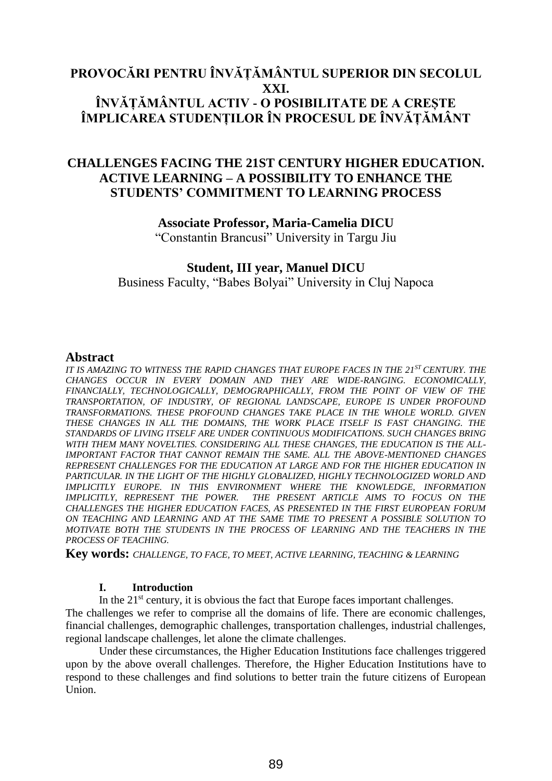# **PROVOCĂRI PENTRU ÎNVĂȚĂMÂNTUL SUPERIOR DIN SECOLUL XXI. ÎNVĂȚĂMÂNTUL ACTIV - O POSIBILITATE DE A CREȘTE ÎMPLICAREA STUDENȚILOR ÎN PROCESUL DE ÎNVĂȚĂMÂNT**

# **CHALLENGES FACING THE 21ST CENTURY HIGHER EDUCATION. ACTIVE LEARNING – A POSSIBILITY TO ENHANCE THE STUDENTS' COMMITMENT TO LEARNING PROCESS**

## **Associate Professor, Maria-Camelia DICU**

"Constantin Brancusi" University in Targu Jiu

# **Student, III year, Manuel DICU**

Business Faculty, "Babes Bolyai" University in Cluj Napoca

# **Abstract**

*IT IS AMAZING TO WITNESS THE RAPID CHANGES THAT EUROPE FACES IN THE 21ST CENTURY. THE CHANGES OCCUR IN EVERY DOMAIN AND THEY ARE WIDE-RANGING. ECONOMICALLY, FINANCIALLY, TECHNOLOGICALLY, DEMOGRAPHICALLY, FROM THE POINT OF VIEW OF THE TRANSPORTATION, OF INDUSTRY, OF REGIONAL LANDSCAPE, EUROPE IS UNDER PROFOUND TRANSFORMATIONS. THESE PROFOUND CHANGES TAKE PLACE IN THE WHOLE WORLD. GIVEN THESE CHANGES IN ALL THE DOMAINS, THE WORK PLACE ITSELF IS FAST CHANGING. THE STANDARDS OF LIVING ITSELF ARE UNDER CONTINUOUS MODIFICATIONS. SUCH CHANGES BRING WITH THEM MANY NOVELTIES. CONSIDERING ALL THESE CHANGES, THE EDUCATION IS THE ALL-IMPORTANT FACTOR THAT CANNOT REMAIN THE SAME. ALL THE ABOVE-MENTIONED CHANGES REPRESENT CHALLENGES FOR THE EDUCATION AT LARGE AND FOR THE HIGHER EDUCATION IN*  PARTICULAR. IN THE LIGHT OF THE HIGHLY GLOBALIZED, HIGHLY TECHNOLOGIZED WORLD AND *IMPLICITLY EUROPE. IN THIS ENVIRONMENT WHERE THE KNOWLEDGE, INFORMATION IMPLICITLY, REPRESENT THE POWER. THE PRESENT ARTICLE AIMS TO FOCUS ON THE CHALLENGES THE HIGHER EDUCATION FACES, AS PRESENTED IN THE FIRST EUROPEAN FORUM ON TEACHING AND LEARNING AND AT THE SAME TIME TO PRESENT A POSSIBLE SOLUTION TO MOTIVATE BOTH THE STUDENTS IN THE PROCESS OF LEARNING AND THE TEACHERS IN THE PROCESS OF TEACHING.*

**Key words:** *CHALLENGE, TO FACE, TO MEET, ACTIVE LEARNING, TEACHING & LEARNING*

## **I. Introduction**

In the  $21<sup>st</sup>$  century, it is obvious the fact that Europe faces important challenges.

The challenges we refer to comprise all the domains of life. There are economic challenges, financial challenges, demographic challenges, transportation challenges, industrial challenges, regional landscape challenges, let alone the climate challenges.

Under these circumstances, the Higher Education Institutions face challenges triggered upon by the above overall challenges. Therefore, the Higher Education Institutions have to respond to these challenges and find solutions to better train the future citizens of European Union.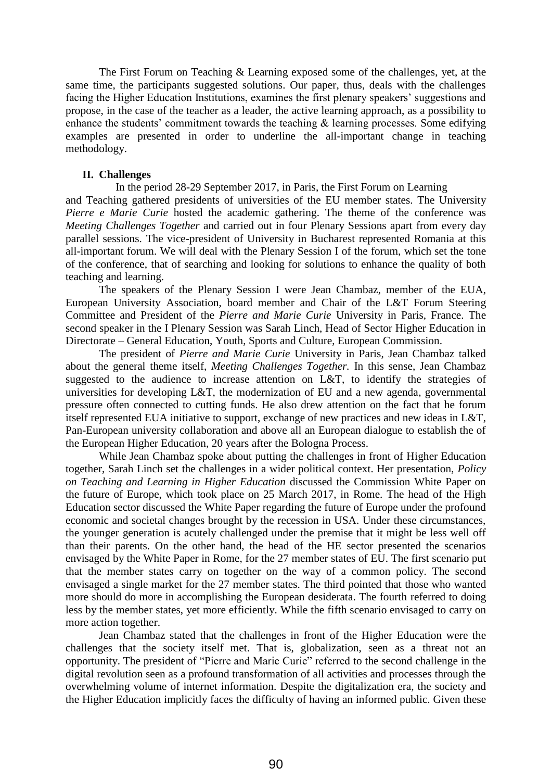The First Forum on Teaching & Learning exposed some of the challenges, yet, at the same time, the participants suggested solutions. Our paper, thus, deals with the challenges facing the Higher Education Institutions, examines the first plenary speakers' suggestions and propose, in the case of the teacher as a leader, the active learning approach, as a possibility to enhance the students' commitment towards the teaching  $\&$  learning processes. Some edifying examples are presented in order to underline the all-important change in teaching methodology.

#### **II. Challenges**

In the period 28-29 September 2017, in Paris, the First Forum on Learning and Teaching gathered presidents of universities of the EU member states. The University *Pierre e Marie Curie* hosted the academic gathering. The theme of the conference was *Meeting Challenges Together* and carried out in four Plenary Sessions apart from every day parallel sessions. The vice-president of University in Bucharest represented Romania at this all-important forum. We will deal with the Plenary Session I of the forum, which set the tone of the conference, that of searching and looking for solutions to enhance the quality of both teaching and learning.

The speakers of the Plenary Session I were Jean Chambaz, member of the EUA, European University Association, board member and Chair of the L&T Forum Steering Committee and President of the *Pierre and Marie Curie* University in Paris, France. The second speaker in the I Plenary Session was Sarah Linch, Head of Sector Higher Education in Directorate – General Education, Youth, Sports and Culture, European Commission.

The president of *Pierre and Marie Curie* University in Paris, Jean Chambaz talked about the general theme itself, *Meeting Challenges Together.* In this sense, Jean Chambaz suggested to the audience to increase attention on L&T, to identify the strategies of universities for developing L&T, the modernization of EU and a new agenda, governmental pressure often connected to cutting funds. He also drew attention on the fact that he forum itself represented EUA initiative to support, exchange of new practices and new ideas in L&T, Pan-European university collaboration and above all an European dialogue to establish the of the European Higher Education, 20 years after the Bologna Process.

While Jean Chambaz spoke about putting the challenges in front of Higher Education together, Sarah Linch set the challenges in a wider political context. Her presentation, *Policy on Teaching and Learning in Higher Education* discussed the Commission White Paper on the future of Europe, which took place on 25 March 2017, in Rome. The head of the High Education sector discussed the White Paper regarding the future of Europe under the profound economic and societal changes brought by the recession in USA. Under these circumstances, the younger generation is acutely challenged under the premise that it might be less well off than their parents. On the other hand, the head of the HE sector presented the scenarios envisaged by the White Paper in Rome, for the 27 member states of EU. The first scenario put that the member states carry on together on the way of a common policy. The second envisaged a single market for the 27 member states. The third pointed that those who wanted more should do more in accomplishing the European desiderata. The fourth referred to doing less by the member states, yet more efficiently. While the fifth scenario envisaged to carry on more action together.

Jean Chambaz stated that the challenges in front of the Higher Education were the challenges that the society itself met. That is, globalization, seen as a threat not an opportunity. The president of "Pierre and Marie Curie" referred to the second challenge in the digital revolution seen as a profound transformation of all activities and processes through the overwhelming volume of internet information. Despite the digitalization era, the society and the Higher Education implicitly faces the difficulty of having an informed public. Given these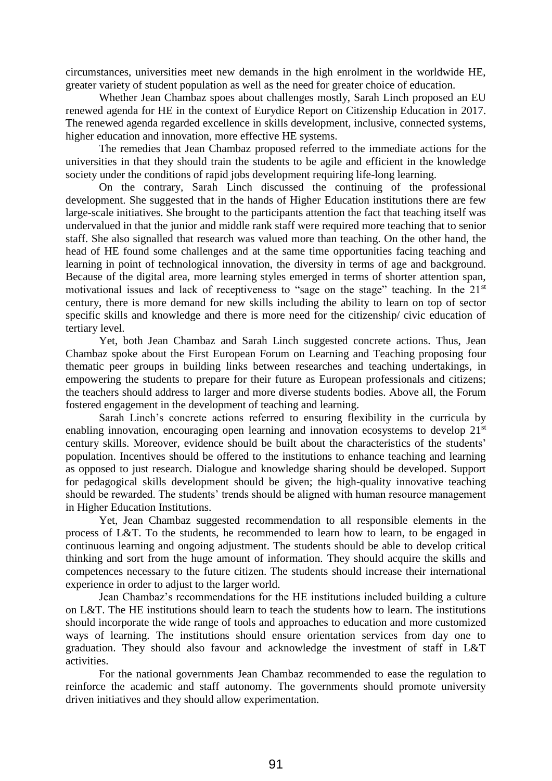circumstances, universities meet new demands in the high enrolment in the worldwide HE, greater variety of student population as well as the need for greater choice of education.

Whether Jean Chambaz spoes about challenges mostly, Sarah Linch proposed an EU renewed agenda for HE in the context of Eurydice Report on Citizenship Education in 2017. The renewed agenda regarded excellence in skills development, inclusive, connected systems, higher education and innovation, more effective HE systems.

The remedies that Jean Chambaz proposed referred to the immediate actions for the universities in that they should train the students to be agile and efficient in the knowledge society under the conditions of rapid jobs development requiring life-long learning.

On the contrary, Sarah Linch discussed the continuing of the professional development. She suggested that in the hands of Higher Education institutions there are few large-scale initiatives. She brought to the participants attention the fact that teaching itself was undervalued in that the junior and middle rank staff were required more teaching that to senior staff. She also signalled that research was valued more than teaching. On the other hand, the head of HE found some challenges and at the same time opportunities facing teaching and learning in point of technological innovation, the diversity in terms of age and background. Because of the digital area, more learning styles emerged in terms of shorter attention span, motivational issues and lack of receptiveness to "sage on the stage" teaching. In the 21<sup>st</sup> century, there is more demand for new skills including the ability to learn on top of sector specific skills and knowledge and there is more need for the citizenship/ civic education of tertiary level.

Yet, both Jean Chambaz and Sarah Linch suggested concrete actions. Thus, Jean Chambaz spoke about the First European Forum on Learning and Teaching proposing four thematic peer groups in building links between researches and teaching undertakings, in empowering the students to prepare for their future as European professionals and citizens; the teachers should address to larger and more diverse students bodies. Above all, the Forum fostered engagement in the development of teaching and learning.

Sarah Linch's concrete actions referred to ensuring flexibility in the curricula by enabling innovation, encouraging open learning and innovation ecosystems to develop 21<sup>st</sup> century skills. Moreover, evidence should be built about the characteristics of the students' population. Incentives should be offered to the institutions to enhance teaching and learning as opposed to just research. Dialogue and knowledge sharing should be developed. Support for pedagogical skills development should be given; the high-quality innovative teaching should be rewarded. The students' trends should be aligned with human resource management in Higher Education Institutions.

Yet, Jean Chambaz suggested recommendation to all responsible elements in the process of L&T. To the students, he recommended to learn how to learn, to be engaged in continuous learning and ongoing adjustment. The students should be able to develop critical thinking and sort from the huge amount of information. They should acquire the skills and competences necessary to the future citizen. The students should increase their international experience in order to adjust to the larger world.

Jean Chambaz's recommendations for the HE institutions included building a culture on L&T. The HE institutions should learn to teach the students how to learn. The institutions should incorporate the wide range of tools and approaches to education and more customized ways of learning. The institutions should ensure orientation services from day one to graduation. They should also favour and acknowledge the investment of staff in L&T activities.

For the national governments Jean Chambaz recommended to ease the regulation to reinforce the academic and staff autonomy. The governments should promote university driven initiatives and they should allow experimentation.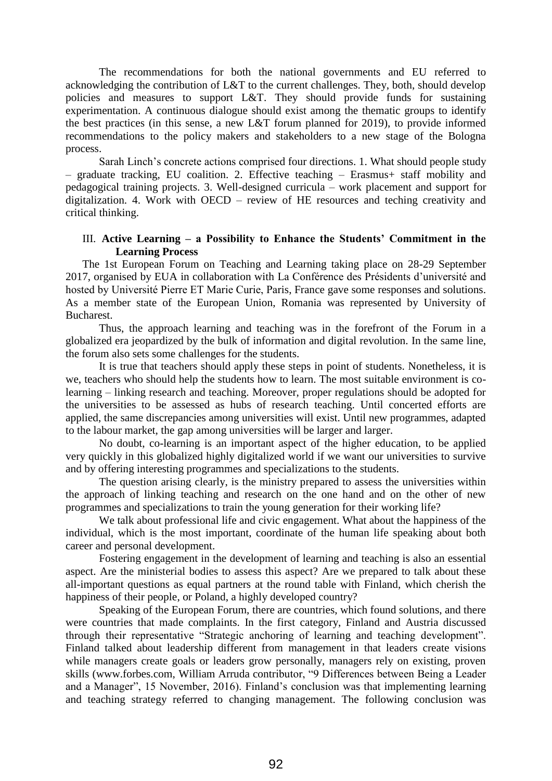The recommendations for both the national governments and EU referred to acknowledging the contribution of L&T to the current challenges. They, both, should develop policies and measures to support L&T. They should provide funds for sustaining experimentation. A continuous dialogue should exist among the thematic groups to identify the best practices (in this sense, a new L&T forum planned for 2019), to provide informed recommendations to the policy makers and stakeholders to a new stage of the Bologna process.

Sarah Linch's concrete actions comprised four directions. 1. What should people study – graduate tracking, EU coalition. 2. Effective teaching – Erasmus+ staff mobility and pedagogical training projects. 3. Well-designed curricula – work placement and support for digitalization. 4. Work with OECD – review of HE resources and teching creativity and critical thinking.

## III. **Active Learning – a Possibility to Enhance the Students' Commitment in the Learning Process**

The 1st European Forum on Teaching and Learning taking place on 28-29 September 2017, organised by EUA in collaboration with La Conférence des Présidents d'université and hosted by Université Pierre ET Marie Curie, Paris, France gave some responses and solutions. As a member state of the European Union, Romania was represented by University of Bucharest.

Thus, the approach learning and teaching was in the forefront of the Forum in a globalized era jeopardized by the bulk of information and digital revolution. In the same line, the forum also sets some challenges for the students.

It is true that teachers should apply these steps in point of students. Nonetheless, it is we, teachers who should help the students how to learn. The most suitable environment is colearning – linking research and teaching. Moreover, proper regulations should be adopted for the universities to be assessed as hubs of research teaching. Until concerted efforts are applied, the same discrepancies among universities will exist. Until new programmes, adapted to the labour market, the gap among universities will be larger and larger.

No doubt, co-learning is an important aspect of the higher education, to be applied very quickly in this globalized highly digitalized world if we want our universities to survive and by offering interesting programmes and specializations to the students.

The question arising clearly, is the ministry prepared to assess the universities within the approach of linking teaching and research on the one hand and on the other of new programmes and specializations to train the young generation for their working life?

We talk about professional life and civic engagement. What about the happiness of the individual, which is the most important, coordinate of the human life speaking about both career and personal development.

Fostering engagement in the development of learning and teaching is also an essential aspect. Are the ministerial bodies to assess this aspect? Are we prepared to talk about these all-important questions as equal partners at the round table with Finland, which cherish the happiness of their people, or Poland, a highly developed country?

Speaking of the European Forum, there are countries, which found solutions, and there were countries that made complaints. In the first category, Finland and Austria discussed through their representative "Strategic anchoring of learning and teaching development". Finland talked about leadership different from management in that leaders create visions while managers create goals or leaders grow personally, managers rely on existing, proven skills (www.forbes.com, William Arruda contributor, "9 Differences between Being a Leader and a Manager", 15 November, 2016). Finland's conclusion was that implementing learning and teaching strategy referred to changing management. The following conclusion was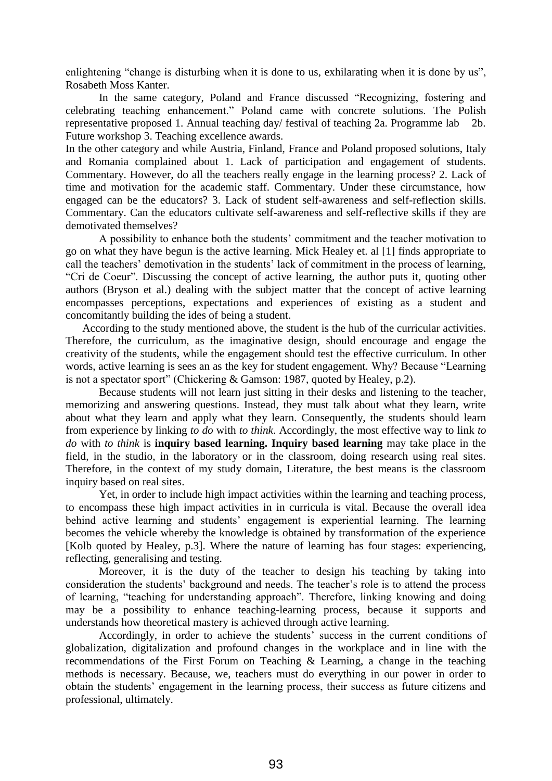enlightening "change is disturbing when it is done to us, exhilarating when it is done by us", Rosabeth Moss Kanter.

In the same category, Poland and France discussed "Recognizing, fostering and celebrating teaching enhancement." Poland came with concrete solutions. The Polish representative proposed 1. Annual teaching day/ festival of teaching 2a. Programme lab 2b. Future workshop 3. Teaching excellence awards.

In the other category and while Austria, Finland, France and Poland proposed solutions, Italy and Romania complained about 1. Lack of participation and engagement of students. Commentary. However, do all the teachers really engage in the learning process? 2. Lack of time and motivation for the academic staff. Commentary. Under these circumstance, how engaged can be the educators? 3. Lack of student self-awareness and self-reflection skills. Commentary. Can the educators cultivate self-awareness and self-reflective skills if they are demotivated themselves?

A possibility to enhance both the students' commitment and the teacher motivation to go on what they have begun is the active learning. Mick Healey et. al [1] finds appropriate to call the teachers' demotivation in the students' lack of commitment in the process of learning, "Cri de Coeur". Discussing the concept of active learning, the author puts it, quoting other authors (Bryson et al.) dealing with the subject matter that the concept of active learning encompasses perceptions, expectations and experiences of existing as a student and concomitantly building the ides of being a student.

According to the study mentioned above, the student is the hub of the curricular activities. Therefore, the curriculum, as the imaginative design, should encourage and engage the creativity of the students, while the engagement should test the effective curriculum. In other words, active learning is sees an as the key for student engagement. Why? Because "Learning is not a spectator sport" (Chickering & Gamson: 1987, quoted by Healey, p.2).

Because students will not learn just sitting in their desks and listening to the teacher, memorizing and answering questions. Instead, they must talk about what they learn, write about what they learn and apply what they learn. Consequently, the students should learn from experience by linking *to do* with *to think*. Accordingly, the most effective way to link *to do* with *to think* is **inquiry based learning. Inquiry based learning** may take place in the field, in the studio, in the laboratory or in the classroom, doing research using real sites. Therefore, in the context of my study domain, Literature, the best means is the classroom inquiry based on real sites.

Yet, in order to include high impact activities within the learning and teaching process, to encompass these high impact activities in in curricula is vital. Because the overall idea behind active learning and students' engagement is experiential learning. The learning becomes the vehicle whereby the knowledge is obtained by transformation of the experience [Kolb quoted by Healey, p.3]. Where the nature of learning has four stages: experiencing, reflecting, generalising and testing.

Moreover, it is the duty of the teacher to design his teaching by taking into consideration the students' background and needs. The teacher's role is to attend the process of learning, "teaching for understanding approach". Therefore, linking knowing and doing may be a possibility to enhance teaching-learning process, because it supports and understands how theoretical mastery is achieved through active learning.

Accordingly, in order to achieve the students' success in the current conditions of globalization, digitalization and profound changes in the workplace and in line with the recommendations of the First Forum on Teaching & Learning, a change in the teaching methods is necessary. Because, we, teachers must do everything in our power in order to obtain the students' engagement in the learning process, their success as future citizens and professional, ultimately.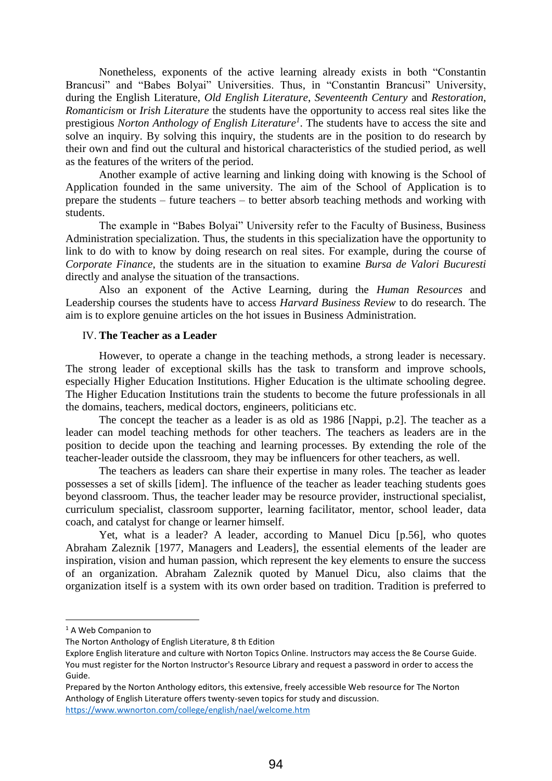Nonetheless, exponents of the active learning already exists in both "Constantin Brancusi" and "Babes Bolyai" Universities. Thus, in "Constantin Brancusi" University, during the English Literature, *Old English Literature*, *Seventeenth Century* and *Restoration*, *Romanticism* or *Irish Literature* the students have the opportunity to access real sites like the prestigious *Norton Anthology of English Literature<sup>1</sup>* . The students have to access the site and solve an inquiry. By solving this inquiry, the students are in the position to do research by their own and find out the cultural and historical characteristics of the studied period, as well as the features of the writers of the period.

Another example of active learning and linking doing with knowing is the School of Application founded in the same university. The aim of the School of Application is to prepare the students – future teachers – to better absorb teaching methods and working with students.

The example in "Babes Bolyai" University refer to the Faculty of Business, Business Administration specialization. Thus, the students in this specialization have the opportunity to link to do with to know by doing research on real sites. For example, during the course of *Corporate Finance*, the students are in the situation to examine *Bursa de Valori Bucuresti* directly and analyse the situation of the transactions.

Also an exponent of the Active Learning, during the *Human Resources* and Leadership courses the students have to access *Harvard Business Review* to do research. The aim is to explore genuine articles on the hot issues in Business Administration.

#### IV. **The Teacher as a Leader**

However, to operate a change in the teaching methods, a strong leader is necessary. The strong leader of exceptional skills has the task to transform and improve schools, especially Higher Education Institutions. Higher Education is the ultimate schooling degree. The Higher Education Institutions train the students to become the future professionals in all the domains, teachers, medical doctors, engineers, politicians etc.

The concept the teacher as a leader is as old as 1986 [Nappi, p.2]. The teacher as a leader can model teaching methods for other teachers. The teachers as leaders are in the position to decide upon the teaching and learning processes. By extending the role of the teacher-leader outside the classroom, they may be influencers for other teachers, as well.

The teachers as leaders can share their expertise in many roles. The teacher as leader possesses a set of skills [idem]. The influence of the teacher as leader teaching students goes beyond classroom. Thus, the teacher leader may be resource provider, instructional specialist, curriculum specialist, classroom supporter, learning facilitator, mentor, school leader, data coach, and catalyst for change or learner himself.

Yet, what is a leader? A leader, according to Manuel Dicu [p.56], who quotes Abraham Zaleznik [1977, Managers and Leaders], the essential elements of the leader are inspiration, vision and human passion, which represent the key elements to ensure the success of an organization. Abraham Zaleznik quoted by Manuel Dicu, also claims that the organization itself is a system with its own order based on tradition. Tradition is preferred to

**.** 

<sup>&</sup>lt;sup>1</sup> A Web Companion to

The Norton Anthology of English Literature, 8 th Edition

Explore English literature and culture with Norton Topics Online. Instructors may access the 8e Course Guide. You must register for the Norton Instructor's Resource Library and request a password in order to access the Guide.

Prepared by the Norton Anthology editors, this extensive, freely accessible Web resource for The Norton Anthology of English Literature offers twenty-seven topics for study and discussion. <https://www.wwnorton.com/college/english/nael/welcome.htm>